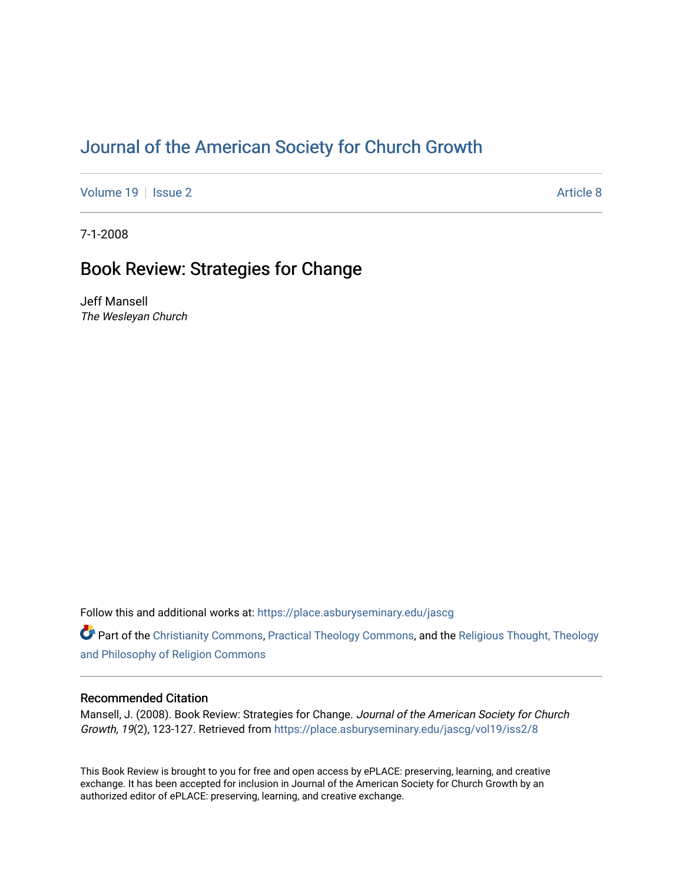# [Journal of the American Society for Church Growth](https://place.asburyseminary.edu/jascg)

[Volume 19](https://place.asburyseminary.edu/jascg/vol19) | [Issue 2](https://place.asburyseminary.edu/jascg/vol19/iss2) Article 8

7-1-2008

# Book Review: Strategies for Change

Jeff Mansell The Wesleyan Church

Follow this and additional works at: [https://place.asburyseminary.edu/jascg](https://place.asburyseminary.edu/jascg?utm_source=place.asburyseminary.edu%2Fjascg%2Fvol19%2Fiss2%2F8&utm_medium=PDF&utm_campaign=PDFCoverPages)

Part of the [Christianity Commons,](https://network.bepress.com/hgg/discipline/1181?utm_source=place.asburyseminary.edu%2Fjascg%2Fvol19%2Fiss2%2F8&utm_medium=PDF&utm_campaign=PDFCoverPages) [Practical Theology Commons](https://network.bepress.com/hgg/discipline/1186?utm_source=place.asburyseminary.edu%2Fjascg%2Fvol19%2Fiss2%2F8&utm_medium=PDF&utm_campaign=PDFCoverPages), and the [Religious Thought, Theology](https://network.bepress.com/hgg/discipline/544?utm_source=place.asburyseminary.edu%2Fjascg%2Fvol19%2Fiss2%2F8&utm_medium=PDF&utm_campaign=PDFCoverPages)  [and Philosophy of Religion Commons](https://network.bepress.com/hgg/discipline/544?utm_source=place.asburyseminary.edu%2Fjascg%2Fvol19%2Fiss2%2F8&utm_medium=PDF&utm_campaign=PDFCoverPages)

## Recommended Citation

Mansell, J. (2008). Book Review: Strategies for Change. Journal of the American Society for Church Growth, 19(2), 123-127. Retrieved from [https://place.asburyseminary.edu/jascg/vol19/iss2/8](https://place.asburyseminary.edu/jascg/vol19/iss2/8?utm_source=place.asburyseminary.edu%2Fjascg%2Fvol19%2Fiss2%2F8&utm_medium=PDF&utm_campaign=PDFCoverPages) 

This Book Review is brought to you for free and open access by ePLACE: preserving, learning, and creative exchange. It has been accepted for inclusion in Journal of the American Society for Church Growth by an authorized editor of ePLACE: preserving, learning, and creative exchange.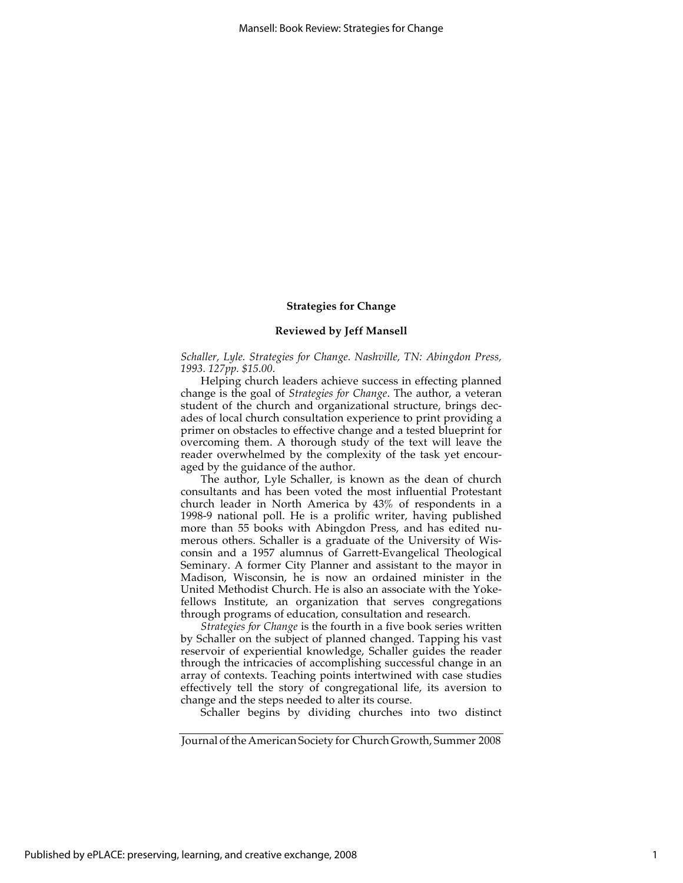#### **Strategies for Change**

#### **Reviewed by Jeff Mansell**

*Schaller, Lyle. Strategies for Change. Nashville, TN: Abingdon Press, 1993. 127pp. \$15.00.*

Helping church leaders achieve success in effecting planned change is the goal of *Strategies for Change*. The author, a veteran student of the church and organizational structure, brings decades of local church consultation experience to print providing a primer on obstacles to effective change and a tested blueprint for overcoming them. A thorough study of the text will leave the reader overwhelmed by the complexity of the task yet encouraged by the guidance of the author.

The author, Lyle Schaller, is known as the dean of church consultants and has been voted the most influential Protestant church leader in North America by 43% of respondents in a 1998-9 national poll. He is a prolific writer, having published more than 55 books with Abingdon Press, and has edited numerous others. Schaller is a graduate of the University of Wisconsin and a 1957 alumnus of Garrett-Evangelical Theological Seminary. A former City Planner and assistant to the mayor in Madison, Wisconsin, he is now an ordained minister in the United Methodist Church. He is also an associate with the Yokefellows Institute, an organization that serves congregations through programs of education, consultation and research.

*Strategies for Change* is the fourth in a five book series written by Schaller on the subject of planned changed. Tapping his vast reservoir of experiential knowledge, Schaller guides the reader through the intricacies of accomplishing successful change in an array of contexts. Teaching points intertwined with case studies effectively tell the story of congregational life, its aversion to change and the steps needed to alter its course.

Schaller begins by dividing churches into two distinct

Journal of the American Society for Church Growth, Summer 2008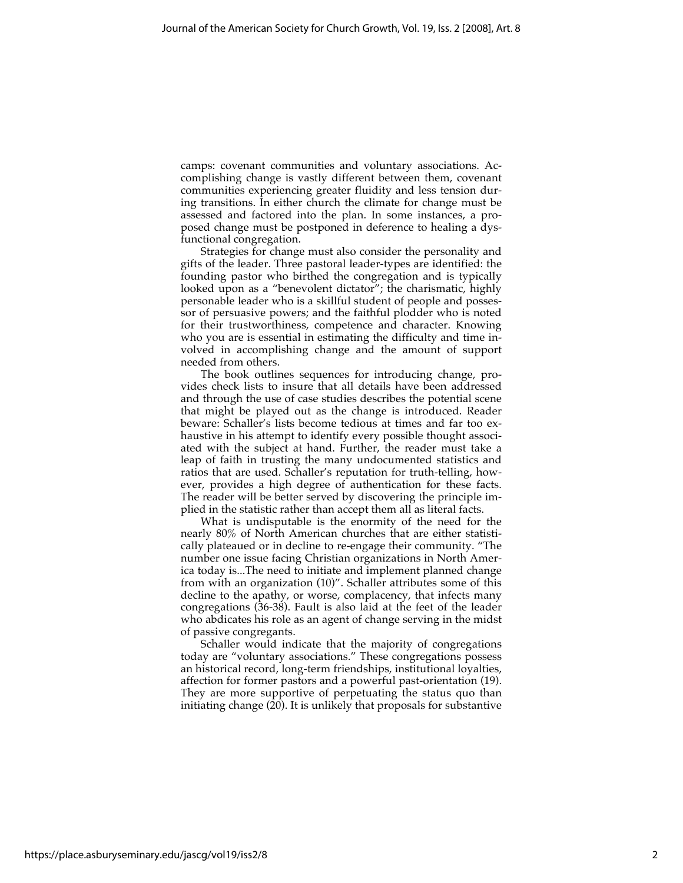camps: covenant communities and voluntary associations. Accomplishing change is vastly different between them, covenant communities experiencing greater fluidity and less tension during transitions. In either church the climate for change must be assessed and factored into the plan. In some instances, a proposed change must be postponed in deference to healing a dysfunctional congregation.

Strategies for change must also consider the personality and gifts of the leader. Three pastoral leader-types are identified: the founding pastor who birthed the congregation and is typically looked upon as a "benevolent dictator"; the charismatic, highly personable leader who is a skillful student of people and possessor of persuasive powers; and the faithful plodder who is noted for their trustworthiness, competence and character. Knowing who you are is essential in estimating the difficulty and time involved in accomplishing change and the amount of support needed from others.

The book outlines sequences for introducing change, provides check lists to insure that all details have been addressed and through the use of case studies describes the potential scene that might be played out as the change is introduced. Reader beware: Schaller's lists become tedious at times and far too exhaustive in his attempt to identify every possible thought associated with the subject at hand. Further, the reader must take a leap of faith in trusting the many undocumented statistics and ratios that are used. Schaller's reputation for truth-telling, however, provides a high degree of authentication for these facts. The reader will be better served by discovering the principle implied in the statistic rather than accept them all as literal facts.

What is undisputable is the enormity of the need for the nearly 80% of North American churches that are either statistically plateaued or in decline to re-engage their community. "The number one issue facing Christian organizations in North America today is...The need to initiate and implement planned change from with an organization (10)". Schaller attributes some of this decline to the apathy, or worse, complacency, that infects many congregations (36-38). Fault is also laid at the feet of the leader who abdicates his role as an agent of change serving in the midst of passive congregants.

Schaller would indicate that the majority of congregations today are "voluntary associations." These congregations possess an historical record, long-term friendships, institutional loyalties, affection for former pastors and a powerful past-orientation (19). They are more supportive of perpetuating the status quo than initiating change (20). It is unlikely that proposals for substantive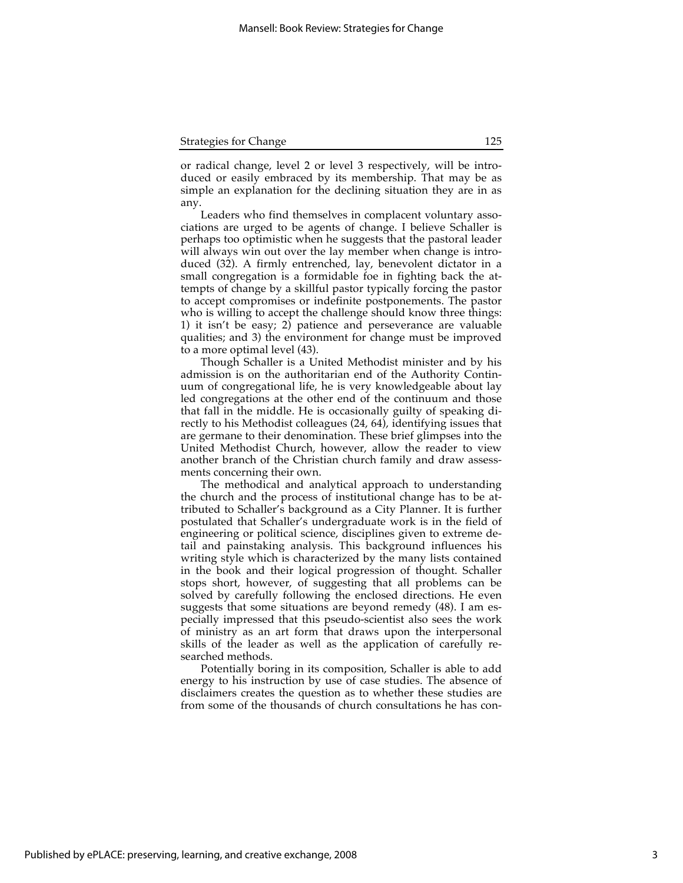| <b>Strategies for Change</b> | 125 |
|------------------------------|-----|
|                              |     |

or radical change, level 2 or level 3 respectively, will be introduced or easily embraced by its membership. That may be as simple an explanation for the declining situation they are in as any.

Leaders who find themselves in complacent voluntary associations are urged to be agents of change. I believe Schaller is perhaps too optimistic when he suggests that the pastoral leader will always win out over the lay member when change is introduced (32). A firmly entrenched, lay, benevolent dictator in a small congregation is a formidable foe in fighting back the attempts of change by a skillful pastor typically forcing the pastor to accept compromises or indefinite postponements. The pastor who is willing to accept the challenge should know three things: 1) it isn't be easy; 2) patience and perseverance are valuable qualities; and 3) the environment for change must be improved to a more optimal level (43).

Though Schaller is a United Methodist minister and by his admission is on the authoritarian end of the Authority Continuum of congregational life, he is very knowledgeable about lay led congregations at the other end of the continuum and those that fall in the middle. He is occasionally guilty of speaking directly to his Methodist colleagues (24, 64), identifying issues that are germane to their denomination. These brief glimpses into the United Methodist Church, however, allow the reader to view another branch of the Christian church family and draw assessments concerning their own.

The methodical and analytical approach to understanding the church and the process of institutional change has to be attributed to Schaller's background as a City Planner. It is further postulated that Schaller's undergraduate work is in the field of engineering or political science, disciplines given to extreme detail and painstaking analysis. This background influences his writing style which is characterized by the many lists contained in the book and their logical progression of thought. Schaller stops short, however, of suggesting that all problems can be solved by carefully following the enclosed directions. He even suggests that some situations are beyond remedy (48). I am especially impressed that this pseudo-scientist also sees the work of ministry as an art form that draws upon the interpersonal skills of the leader as well as the application of carefully researched methods.

Potentially boring in its composition, Schaller is able to add energy to his instruction by use of case studies. The absence of disclaimers creates the question as to whether these studies are from some of the thousands of church consultations he has con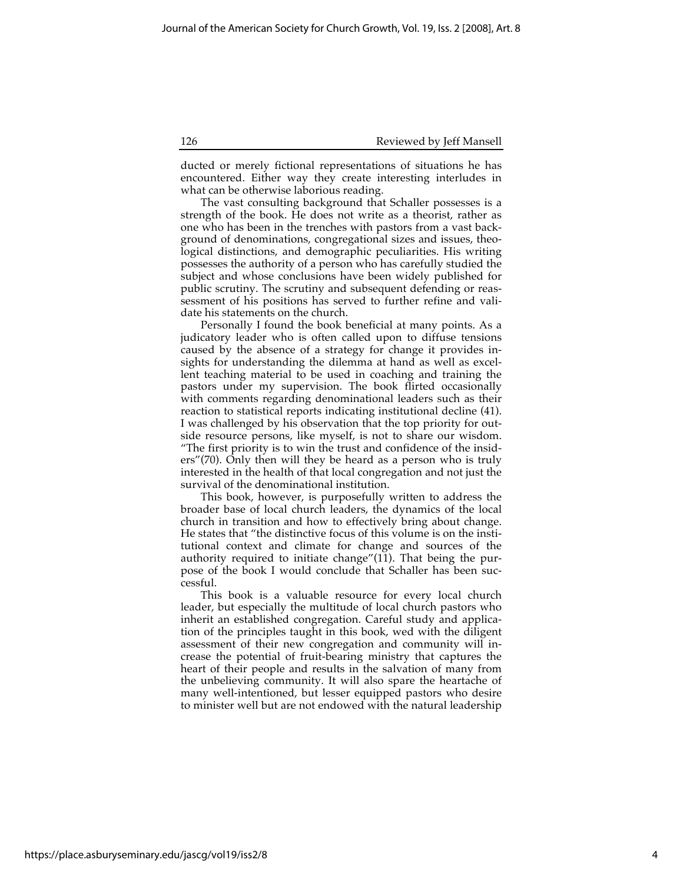126 Reviewed by Jeff Mansell

ducted or merely fictional representations of situations he has encountered. Either way they create interesting interludes in what can be otherwise laborious reading.

The vast consulting background that Schaller possesses is a strength of the book. He does not write as a theorist, rather as one who has been in the trenches with pastors from a vast background of denominations, congregational sizes and issues, theological distinctions, and demographic peculiarities. His writing possesses the authority of a person who has carefully studied the subject and whose conclusions have been widely published for public scrutiny. The scrutiny and subsequent defending or reassessment of his positions has served to further refine and validate his statements on the church.

Personally I found the book beneficial at many points. As a judicatory leader who is often called upon to diffuse tensions caused by the absence of a strategy for change it provides insights for understanding the dilemma at hand as well as excellent teaching material to be used in coaching and training the pastors under my supervision. The book flirted occasionally with comments regarding denominational leaders such as their reaction to statistical reports indicating institutional decline (41). I was challenged by his observation that the top priority for outside resource persons, like myself, is not to share our wisdom. "The first priority is to win the trust and confidence of the insiders"(70). Only then will they be heard as a person who is truly interested in the health of that local congregation and not just the survival of the denominational institution.

This book, however, is purposefully written to address the broader base of local church leaders, the dynamics of the local church in transition and how to effectively bring about change. He states that "the distinctive focus of this volume is on the institutional context and climate for change and sources of the authority required to initiate change" $(11)$ . That being the purpose of the book I would conclude that Schaller has been successful.

This book is a valuable resource for every local church leader, but especially the multitude of local church pastors who inherit an established congregation. Careful study and application of the principles taught in this book, wed with the diligent assessment of their new congregation and community will increase the potential of fruit-bearing ministry that captures the heart of their people and results in the salvation of many from the unbelieving community. It will also spare the heartache of many well-intentioned, but lesser equipped pastors who desire to minister well but are not endowed with the natural leadership